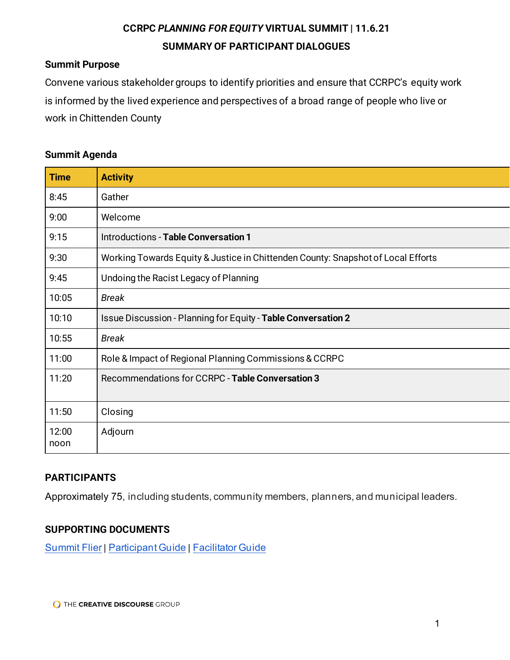# **CCRPC** *PLANNING FOR EQUITY* **VIRTUAL SUMMIT | 11.6.21 SUMMARY OF PARTICIPANT DIALOGUES**

#### **Summit Purpose**

Convene various stakeholder groups to identify priorities and ensure that CCRPC's equity work is informed by the lived experience and perspectives of a broad range of people who live or work in Chittenden County

#### **Summit Agenda**

| <b>Time</b>   | <b>Activity</b>                                                                  |
|---------------|----------------------------------------------------------------------------------|
| 8:45          | Gather                                                                           |
| 9:00          | Welcome                                                                          |
| 9:15          | <b>Introductions - Table Conversation 1</b>                                      |
| 9:30          | Working Towards Equity & Justice in Chittenden County: Snapshot of Local Efforts |
| 9:45          | Undoing the Racist Legacy of Planning                                            |
| 10:05         | <b>Break</b>                                                                     |
| 10:10         | Issue Discussion - Planning for Equity - Table Conversation 2                    |
| 10:55         | <b>Break</b>                                                                     |
| 11:00         | Role & Impact of Regional Planning Commissions & CCRPC                           |
| 11:20         | Recommendations for CCRPC - Table Conversation 3                                 |
| 11:50         | Closing                                                                          |
| 12:00<br>noon | Adjourn                                                                          |

# **PARTICIPANTS**

Approximately 75, including students, community members, planners, and municipal leaders.

#### **SUPPORTING DOCUMENTS**

[Summit Flier](https://drive.google.com/file/d/1xtJuJDrjl5yyI_tVcB-MaBGZQhG918X6/view?usp=sharing) | [Participant Guide](https://drive.google.com/file/d/1aFGxZw25Zj_cEaB-7HCqw4qlrCP-KieU/view?usp=sharing) | [Facilitator Guide](https://docs.google.com/document/d/1RqaB4dvsxq_yVDBWvPOp8rzV-UR7NKO2-wJKUYBh8BY/edit?usp=sharing)

**O THE CREATIVE DISCOURSE GROUP**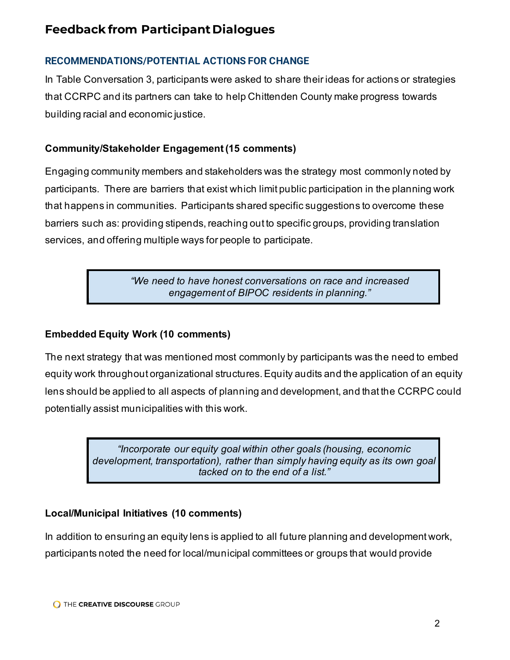# **Feedback from Participant Dialogues**

# **RECOMMENDATIONS/POTENTIAL ACTIONS FOR CHANGE**

In Table Conversation 3, participants were asked to share their ideas for actions or strategies that CCRPC and its partners can take to help Chittenden County make progress towards building racial and economic justice.

# **Community/Stakeholder Engagement (15 comments)**

Engaging community members and stakeholders was the strategy most commonly noted by participants. There are barriers that exist which limit public participation in the planning work that happens in communities. Participants shared specific suggestions to overcome these barriers such as: providing stipends, reaching out to specific groups, providing translation services, and offering multiple ways for people to participate.

> *"We need to have honest conversations on race and increased engagement of BIPOC residents in planning."*

# **Embedded Equity Work (10 comments)**

The next strategy that was mentioned most commonly by participants was the need to embed equity work throughout organizational structures. Equity audits and the application of an equity lens should be applied to all aspects of planning and development, and that the CCRPC could potentially assist municipalities with this work.

> *"Incorporate our equity goal within other goals (housing, economic development, transportation), rather than simply having equity as its own goal tacked on to the end of a list."*

# **Local/Municipal Initiatives (10 comments)**

In addition to ensuring an equity lens is applied to all future planning and development work, participants noted the need for local/municipal committees or groups that would provide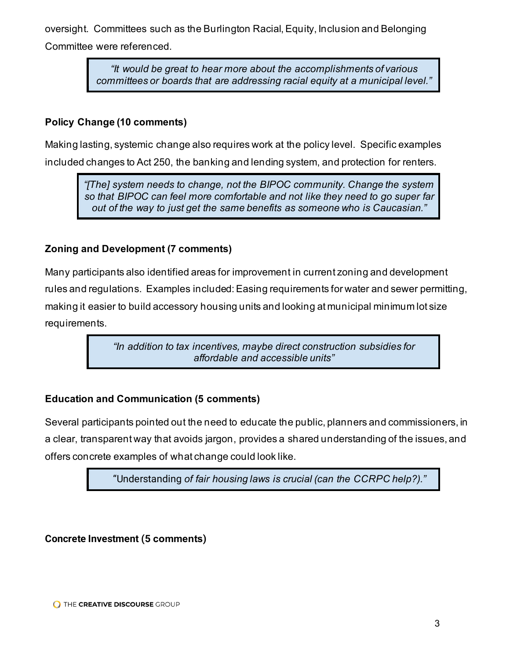oversight. Committees such as the Burlington Racial, Equity, Inclusion and Belonging Committee were referenced.

> *"It would be great to hear more about the accomplishments of various committees or boards that are addressing racial equity at a municipal level."*

#### **Policy Change (10 comments)**

Making lasting, systemic change also requires work at the policy level. Specific examples included changes to Act 250, the banking and lending system, and protection for renters.

*"[The] system needs to change, not the BIPOC community. Change the system so that BIPOC can feel more comfortable and not like they need to go super far out of the way to just get the same benefits as someone who is Caucasian."*

#### **Zoning and Development (7 comments)**

Many participants also identified areas for improvement in current zoning and development rules and regulations. Examples included: Easing requirements for water and sewer permitting, making it easier to build accessory housing units and looking at municipal minimum lot size requirements.

> *"In addition to tax incentives, maybe direct construction subsidies for affordable and accessible units"*

# **Education and Communication (5 comments)**

Several participants pointed out the need to educate the public, planners and commissioners, in a clear, transparent way that avoids jargon, provides a shared understanding of the issues, and offers concrete examples of what change could look like.

"Understanding *of fair housing laws is crucial (can the CCRPC help?)."*

# **Concrete Investment (5 comments)**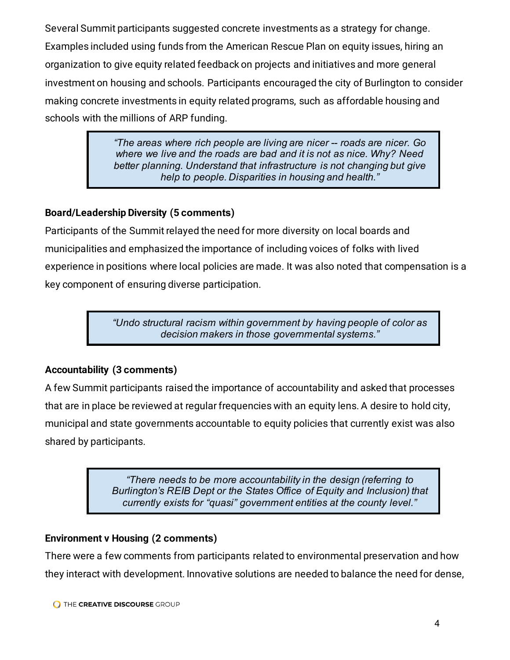Several Summit participants suggested concrete investments as a strategy for change. Examples included using funds from the American Rescue Plan on equity issues, hiring an organization to give equity related feedback on projects and initiatives and more general investment on housing and schools. Participants encouraged the city of Burlington to consider making concrete investments in equity related programs, such as affordable housing and schools with the millions of ARP funding.

> *"The areas where rich people are living are nicer -- roads are nicer. Go where we live and the roads are bad and it is not as nice. Why? Need better planning. Understand that infrastructure is not changing but give help to people. Disparities in housing and health."*

# **Board/Leadership Diversity (5 comments)**

Participants of the Summit relayed the need for more diversity on local boards and municipalities and emphasized the importance of including voices of folks with lived experience in positions where local policies are made. It was also noted that compensation is a key component of ensuring diverse participation.

> *"Undo structural racism within government by having people of color as decision makers in those governmental systems."*

# **Accountability (3 comments)**

A few Summit participants raised the importance of accountability and asked that processes that are in place be reviewed at regular frequencies with an equity lens. A desire to hold city, municipal and state governments accountable to equity policies that currently exist was also shared by participants.

> *"There needs to be more accountability in the design (referring to Burlington's REIB Dept or the States Office of Equity and Inclusion) that currently exists for "quasi" government entities at the county level."*

# **Environment v Housing (2 comments)**

There were a few comments from participants related to environmental preservation and how they interact with development. Innovative solutions are needed to balance the need for dense,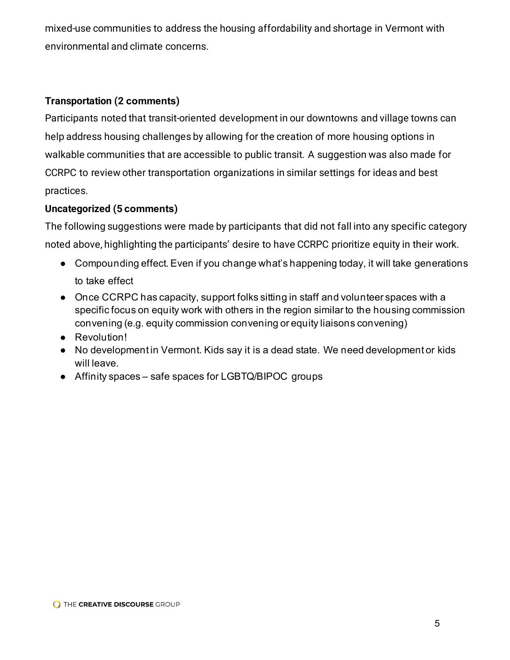mixed-use communities to address the housing affordability and shortage in Vermont with environmental and climate concerns.

#### **Transportation (2 comments)**

Participants noted that transit-oriented development in our downtowns and village towns can help address housing challenges by allowing for the creation of more housing options in walkable communities that are accessible to public transit. A suggestion was also made for CCRPC to review other transportation organizations in similar settings for ideas and best practices.

#### **Uncategorized (5 comments)**

The following suggestions were made by participants that did not fall into any specific category noted above, highlighting the participants' desire to have CCRPC prioritize equity in their work.

- Compounding effect. Even if you change what's happening today, it will take generations to take effect
- Once CCRPC has capacity, support folks sitting in staff and volunteer spaces with a specific focus on equity work with others in the region similar to the housing commission convening (e.g. equity commission convening or equity liaisons convening)
- Revolution!
- No development in Vermont. Kids say it is a dead state. We need development or kids will leave.
- Affinity spaces safe spaces for LGBTQ/BIPOC groups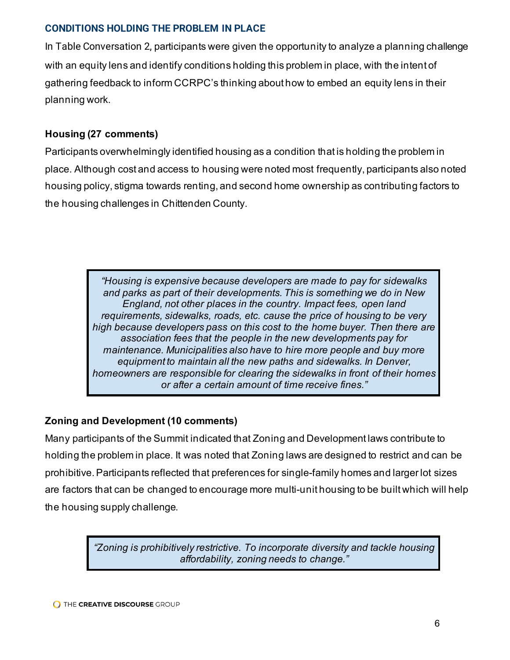#### **CONDITIONS HOLDING THE PROBLEM IN PLACE**

In Table Conversation 2, participants were given the opportunity to analyze a planning challenge with an equity lens and identify conditions holding this problem in place, with the intent of gathering feedback to inform CCRPC's thinking about how to embed an equity lens in their planning work.

# **Housing (27 comments)**

Participants overwhelmingly identified housing as a condition that is holding the problem in place. Although cost and access to housing were noted most frequently, participants also noted housing policy, stigma towards renting, and second home ownership as contributing factors to the housing challenges in Chittenden County.

> *"Housing is expensive because developers are made to pay for sidewalks and parks as part of their developments. This is something we do in New England, not other places in the country. Impact fees, open land requirements, sidewalks, roads, etc. cause the price of housing to be very high because developers pass on this cost to the home buyer. Then there are association fees that the people in the new developments pay for maintenance. Municipalities also have to hire more people and buy more equipment to maintain all the new paths and sidewalks. In Denver, homeowners are responsible for clearing the sidewalks in front of their homes or after a certain amount of time receive fines."*

# **Zoning and Development (10 comments)**

Many participants of the Summit indicated that Zoning and Development laws contribute to holding the problem in place. It was noted that Zoning laws are designed to restrict and can be prohibitive. Participants reflected that preferences for single-family homes and larger lot sizes are factors that can be changed to encourage more multi-unit housing to be built which will help the housing supply challenge.

> *"Zoning is prohibitively restrictive. To incorporate diversity and tackle housing affordability, zoning needs to change."*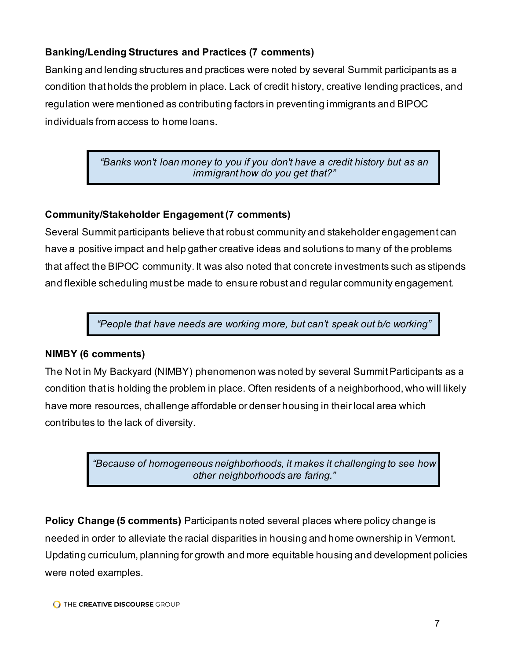# **Banking/Lending Structures and Practices (7 comments)**

Banking and lending structures and practices were noted by several Summit participants as a condition that holds the problem in place. Lack of credit history, creative lending practices, and regulation were mentioned as contributing factors in preventing immigrants and BIPOC individuals from access to home loans.

> *"Banks won't loan money to you if you don't have a credit history but as an immigrant how do you get that?"*

#### **Community/Stakeholder Engagement (7 comments)**

Several Summit participants believe that robust community and stakeholder engagement can have a positive impact and help gather creative ideas and solutions to many of the problems that affect the BIPOC community. It was also noted that concrete investments such as stipends and flexible scheduling must be made to ensure robust and regular community engagement.

*"People that have needs are working more, but can't speak out b/c working"*

#### **NIMBY (6 comments)**

The Not in My Backyard (NIMBY) phenomenon was noted by several Summit Participants as a condition that is holding the problem in place. Often residents of a neighborhood, who will likely have more resources, challenge affordable or denser housing in their local area which contributes to the lack of diversity.

> *"Because of homogeneous neighborhoods, it makes it challenging to see how other neighborhoods are faring."*

**Policy Change (5 comments)** Participants noted several places where policy change is needed in order to alleviate the racial disparities in housing and home ownership in Vermont. Updating curriculum, planning for growth and more equitable housing and development policies were noted examples.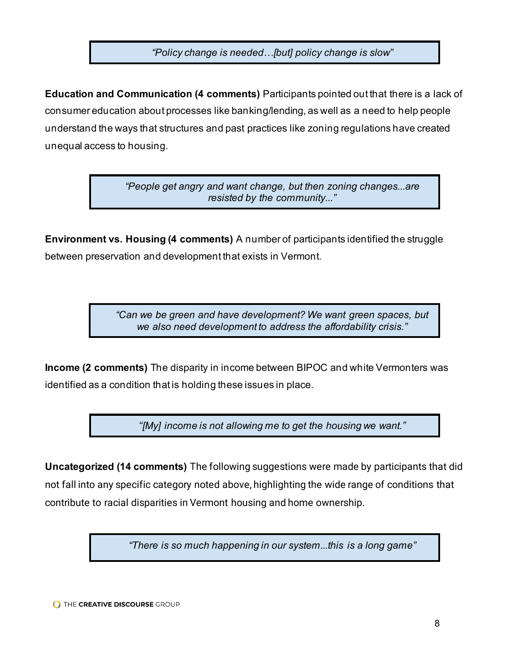*"Policy change is needed…[but] policy change is slow"*

**Education and Communication (4 comments)** Participants pointed out that there is a lack of consumer education about processes like banking/lending, as well as a need to help people understand the ways that structures and past practices like zoning regulations have created unequal access to housing.

> *"People get angry and want change, but then zoning changes...are resisted by the community..."*

**Environment vs. Housing (4 comments)** A number of participants identified the struggle between preservation and development that exists in Vermont.

> *"Can we be green and have development? We want green spaces, but we also need development to address the affordability crisis."*

**Income (2 comments)** The disparity in income between BIPOC and white Vermonters was identified as a condition that is holding these issues in place.

*"[My] income is not allowing me to get the housing we want."*

**Uncategorized (14 comments)** The following suggestions were made by participants that did not fall into any specific category noted above, highlighting the wide range of conditions that contribute to racial disparities in Vermont housing and home ownership.

*"There is so much happening in our system...this is a long game"*